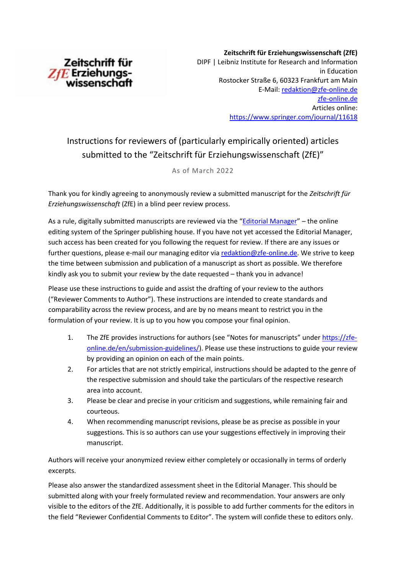

**Zeitschrift für Erziehungswissenschaft (ZfE)**  DIPF | Leibniz Institute for Research and Information in Education Rostocker Straße 6, 60323 Frankfurt am Main E-Mail: [redaktion@zfe-online.de](mailto:redaktion@zfe-online.de)  [zfe-online.de](https://www.springer.com/journal/11618) Articles online: <https://www.springer.com/journal/11618>

## Instructions for reviewers of (particularly empirically oriented) articles submitted to the "Zeitschrift für Erziehungswissenschaft (ZfE)"

As of March 2022

Thank you for kindly agreeing to anonymously review a submitted manuscript for the *Zeitschrift für Erziehungswissenschaft* (ZfE) in a blind peer review process.

As a rule, digitally submitted manuscripts are reviewed via the "[Editorial Manager](https://www.editorialmanager.com/zfer/default1.aspx)" – the online editing system of the Springer publishing house. If you have not yet accessed the Editorial Manager, such access has been created for you following the request for review. If there are any issues or further questions, please e-mail our managing editor vi[a redaktion@zfe-online.de.](mailto:redaktion@zfe-online.de) We strive to keep the time between submission and publication of a manuscript as short as possible. We therefore kindly ask you to submit your review by the date requested – thank you in advance!

Please use these instructions to guide and assist the drafting of your review to the authors ("Reviewer Comments to Author"). These instructions are intended to create standards and comparability across the review process, and are by no means meant to restrict you in the formulation of your review. It is up to you how you compose your final opinion.

- 1. The ZfE provides instructions for authors (see "Notes for manuscripts" unde[r https://zfe](https://zfe-online.de/en/submission-guidelines/)[online.de/en/submission-guidelines/\)](https://zfe-online.de/en/submission-guidelines/). Please use these instructions to guide your review by providing an opinion on each of the main points.
- 2. For articles that are not strictly empirical, instructions should be adapted to the genre of the respective submission and should take the particulars of the respective research area into account.
- 3. Please be clear and precise in your criticism and suggestions, while remaining fair and courteous.
- 4. When recommending manuscript revisions, please be as precise as possible in your suggestions. This is so authors can use your suggestions effectively in improving their manuscript.

Authors will receive your anonymized review either completely or occasionally in terms of orderly excerpts.

Please also answer the standardized assessment sheet in the Editorial Manager. This should be submitted along with your freely formulated review and recommendation. Your answers are only visible to the editors of the ZfE. Additionally, it is possible to add further comments for the editors in the field "Reviewer Confidential Comments to Editor". The system will confide these to editors only.